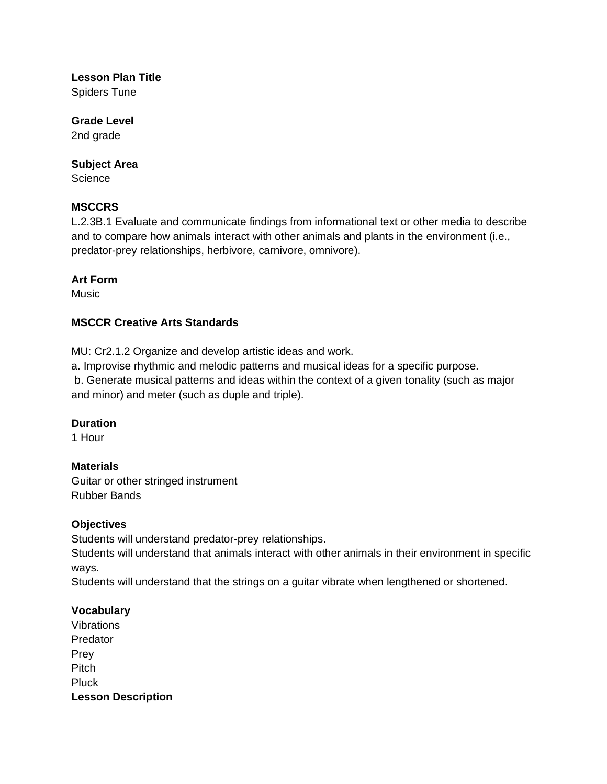# **Lesson Plan Title**

Spiders Tune

## **Grade Level**

2nd grade

#### **Subject Area**

**Science** 

#### **MSCCRS**

L.2.3B.1 Evaluate and communicate findings from informational text or other media to describe and to compare how animals interact with other animals and plants in the environment (i.e., predator-prey relationships, herbivore, carnivore, omnivore).

#### **Art Form**

**Music** 

#### **MSCCR Creative Arts Standards**

MU: Cr2.1.2 Organize and develop artistic ideas and work.

a. Improvise rhythmic and melodic patterns and musical ideas for a specific purpose.

b. Generate musical patterns and ideas within the context of a given tonality (such as major and minor) and meter (such as duple and triple).

#### **Duration**

1 Hour

#### **Materials**

Guitar or other stringed instrument Rubber Bands

#### **Objectives**

Students will understand predator-prey relationships.

Students will understand that animals interact with other animals in their environment in specific ways.

Students will understand that the strings on a guitar vibrate when lengthened or shortened.

### **Vocabulary**

Vibrations Predator Prey Pitch Pluck **Lesson Description**